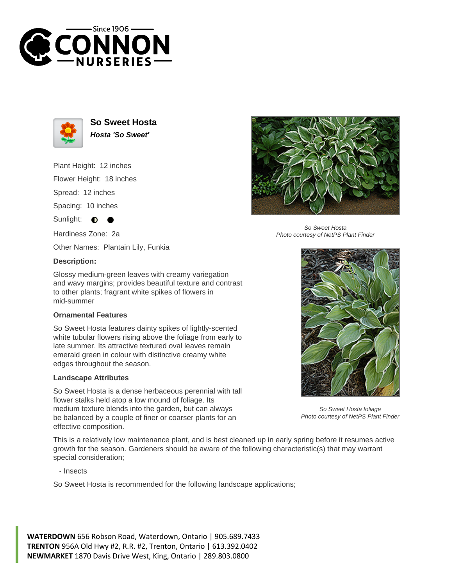



**So Sweet Hosta Hosta 'So Sweet'**

Plant Height: 12 inches Flower Height: 18 inches

Spread: 12 inches

Spacing: 10 inches

Sunlight:  $\bullet$ 

Hardiness Zone: 2a

Other Names: Plantain Lily, Funkia

## **Description:**

Glossy medium-green leaves with creamy variegation and wavy margins; provides beautiful texture and contrast to other plants; fragrant white spikes of flowers in mid-summer

## **Ornamental Features**

So Sweet Hosta features dainty spikes of lightly-scented white tubular flowers rising above the foliage from early to late summer. Its attractive textured oval leaves remain emerald green in colour with distinctive creamy white edges throughout the season.

## **Landscape Attributes**

So Sweet Hosta is a dense herbaceous perennial with tall flower stalks held atop a low mound of foliage. Its medium texture blends into the garden, but can always be balanced by a couple of finer or coarser plants for an effective composition.

So Sweet Hosta Photo courtesy of NetPS Plant Finder



So Sweet Hosta foliage Photo courtesy of NetPS Plant Finder

This is a relatively low maintenance plant, and is best cleaned up in early spring before it resumes active growth for the season. Gardeners should be aware of the following characteristic(s) that may warrant special consideration;

- Insects

So Sweet Hosta is recommended for the following landscape applications;

**WATERDOWN** 656 Robson Road, Waterdown, Ontario | 905.689.7433 **TRENTON** 956A Old Hwy #2, R.R. #2, Trenton, Ontario | 613.392.0402 **NEWMARKET** 1870 Davis Drive West, King, Ontario | 289.803.0800